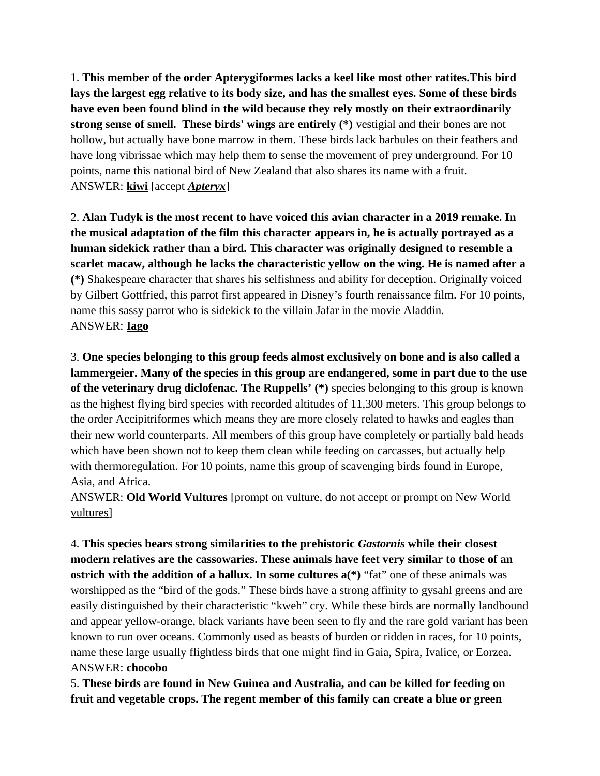1. **This member of the order Apterygiformes lacks a keel like most other ratites.This bird lays the largest egg relative to its body size, and has the smallest eyes. Some of these birds have even been found blind in the wild because they rely mostly on their extraordinarily strong sense of smell. These birds' wings are entirely (\*)** vestigial and their bones are not hollow, but actually have bone marrow in them. These birds lack barbules on their feathers and have long vibrissae which may help them to sense the movement of prey underground. For 10 points, name this national bird of New Zealand that also shares its name with a fruit. ANSWER: **kiwi** [accept *Apteryx*]

2. **Alan Tudyk is the most recent to have voiced this avian character in a 2019 remake. In the musical adaptation of the film this character appears in, he is actually portrayed as a human sidekick rather than a bird. This character was originally designed to resemble a scarlet macaw, although he lacks the characteristic yellow on the wing. He is named after a (\*)** Shakespeare character that shares his selfishness and ability for deception. Originally voiced by Gilbert Gottfried, this parrot first appeared in Disney's fourth renaissance film. For 10 points, name this sassy parrot who is sidekick to the villain Jafar in the movie Aladdin. ANSWER: **Iago**

3. **One species belonging to this group feeds almost exclusively on bone and is also called a lammergeier. Many of the species in this group are endangered, some in part due to the use of the veterinary drug diclofenac. The Ruppells' (\*)** species belonging to this group is known as the highest flying bird species with recorded altitudes of 11,300 meters. This group belongs to the order Accipitriformes which means they are more closely related to hawks and eagles than their new world counterparts. All members of this group have completely or partially bald heads which have been shown not to keep them clean while feeding on carcasses, but actually help with thermoregulation. For 10 points, name this group of scavenging birds found in Europe, Asia, and Africa.

ANSWER: **Old World Vultures** [prompt on vulture, do not accept or prompt on New World vultures]

4. **This species bears strong similarities to the prehistoric** *Gastornis* **while their closest modern relatives are the cassowaries. These animals have feet very similar to those of an ostrich with the addition of a hallux. In some cultures**  $a(*)$  **"fat" one of these animals was** worshipped as the "bird of the gods." These birds have a strong affinity to gysahl greens and are easily distinguished by their characteristic "kweh" cry. While these birds are normally landbound and appear yellow-orange, black variants have been seen to fly and the rare gold variant has been known to run over oceans. Commonly used as beasts of burden or ridden in races, for 10 points, name these large usually flightless birds that one might find in Gaia, Spira, Ivalice, or Eorzea. ANSWER: **chocobo**

5. **These birds are found in New Guinea and Australia, and can be killed for feeding on fruit and vegetable crops. The regent member of this family can create a blue or green**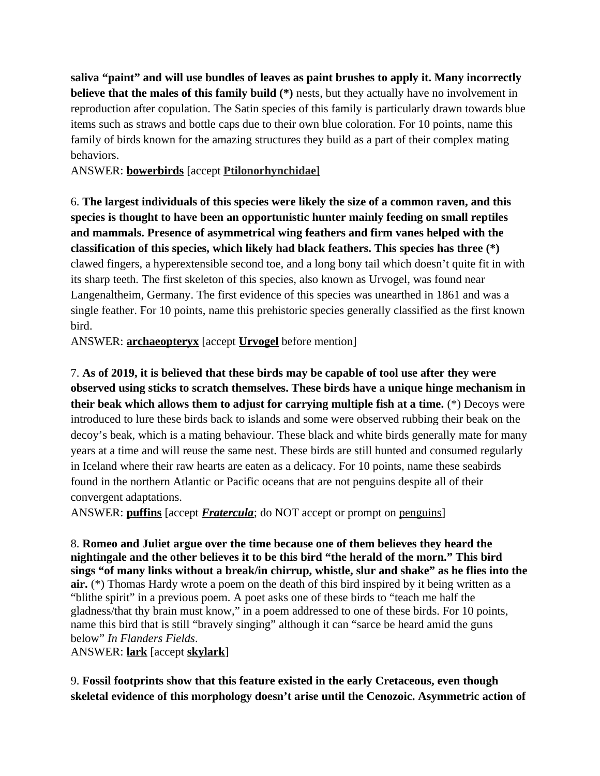**saliva "paint" and will use bundles of leaves as paint brushes to apply it. Many incorrectly believe that the males of this family build (\*)** nests, but they actually have no involvement in reproduction after copulation. The Satin species of this family is particularly drawn towards blue items such as straws and bottle caps due to their own blue coloration. For 10 points, name this family of birds known for the amazing structures they build as a part of their complex mating behaviors.

ANSWER: **bowerbirds** [accept **Ptilonorhynchidae]**

6. **The largest individuals of this species were likely the size of a common raven, and this species is thought to have been an opportunistic hunter mainly feeding on small reptiles and mammals. Presence of asymmetrical wing feathers and firm vanes helped with the classification of this species, which likely had black feathers. This species has three (\*)**  clawed fingers, a hyperextensible second toe, and a long bony tail which doesn't quite fit in with its sharp teeth. The first skeleton of this species, also known as Urvogel, was found near Langenaltheim, Germany. The first evidence of this species was unearthed in 1861 and was a single feather. For 10 points, name this prehistoric species generally classified as the first known bird.

ANSWER: **archaeopteryx** [accept **Urvogel** before mention]

7. **As of 2019, it is believed that these birds may be capable of tool use after they were observed using sticks to scratch themselves. These birds have a unique hinge mechanism in their beak which allows them to adjust for carrying multiple fish at a time.** (\*) Decoys were introduced to lure these birds back to islands and some were observed rubbing their beak on the decoy's beak, which is a mating behaviour. These black and white birds generally mate for many years at a time and will reuse the same nest. These birds are still hunted and consumed regularly in Iceland where their raw hearts are eaten as a delicacy. For 10 points, name these seabirds found in the northern Atlantic or Pacific oceans that are not penguins despite all of their convergent adaptations.

ANSWER: **puffins** [accept *Fratercula*; do NOT accept or prompt on penguins]

8. **Romeo and Juliet argue over the time because one of them believes they heard the nightingale and the other believes it to be this bird "the herald of the morn." This bird sings "of many links without a break/in chirrup, whistle, slur and shake" as he flies into the air.** (\*) Thomas Hardy wrote a poem on the death of this bird inspired by it being written as a "blithe spirit" in a previous poem. A poet asks one of these birds to "teach me half the gladness/that thy brain must know," in a poem addressed to one of these birds. For 10 points, name this bird that is still "bravely singing" although it can "sarce be heard amid the guns below" *In Flanders Fields*.

ANSWER: **lark** [accept **skylark**]

9. **Fossil footprints show that this feature existed in the early Cretaceous, even though skeletal evidence of this morphology doesn't arise until the Cenozoic. Asymmetric action of**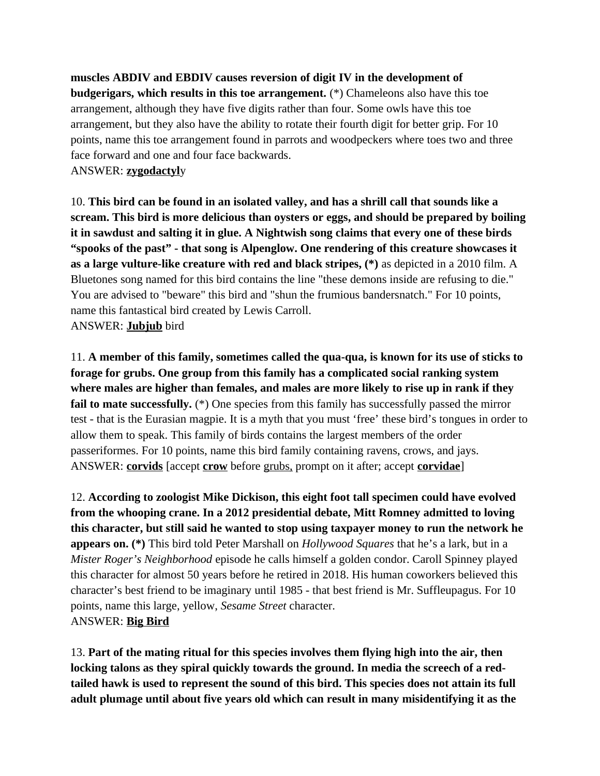**muscles ABDIV and EBDIV causes reversion of digit IV in the development of budgerigars, which results in this toe arrangement.** (\*) Chameleons also have this toe arrangement, although they have five digits rather than four. Some owls have this toe arrangement, but they also have the ability to rotate their fourth digit for better grip. For 10 points, name this toe arrangement found in parrots and woodpeckers where toes two and three face forward and one and four face backwards. ANSWER: **zygodactyl**y

10. **This bird can be found in an isolated valley, and has a shrill call that sounds like a scream. This bird is more delicious than oysters or eggs, and should be prepared by boiling it in sawdust and salting it in glue. A Nightwish song claims that every one of these birds "spooks of the past" - that song is Alpenglow. One rendering of this creature showcases it as a large vulture-like creature with red and black stripes, (\*)** as depicted in a 2010 film. A Bluetones song named for this bird contains the line "these demons inside are refusing to die." You are advised to "beware" this bird and "shun the frumious bandersnatch." For 10 points, name this fantastical bird created by Lewis Carroll. ANSWER: **Jubjub** bird

11. **A member of this family, sometimes called the qua-qua, is known for its use of sticks to forage for grubs. One group from this family has a complicated social ranking system where males are higher than females, and males are more likely to rise up in rank if they**  fail to mate successfully. (\*) One species from this family has successfully passed the mirror test - that is the Eurasian magpie. It is a myth that you must 'free' these bird's tongues in order to allow them to speak. This family of birds contains the largest members of the order passeriformes. For 10 points, name this bird family containing ravens, crows, and jays. ANSWER: **corvids** [accept **crow** before grubs, prompt on it after; accept **corvidae**]

12. **According to zoologist Mike Dickison, this eight foot tall specimen could have evolved from the whooping crane. In a 2012 presidential debate, Mitt Romney admitted to loving this character, but still said he wanted to stop using taxpayer money to run the network he appears on. (\*)** This bird told Peter Marshall on *Hollywood Squares* that he's a lark, but in a *Mister Roger's Neighborhood* episode he calls himself a golden condor. Caroll Spinney played this character for almost 50 years before he retired in 2018. His human coworkers believed this character's best friend to be imaginary until 1985 - that best friend is Mr. Suffleupagus. For 10 points, name this large, yellow, *Sesame Street* character. ANSWER: **Big Bird**

13. **Part of the mating ritual for this species involves them flying high into the air, then locking talons as they spiral quickly towards the ground. In media the screech of a redtailed hawk is used to represent the sound of this bird. This species does not attain its full adult plumage until about five years old which can result in many misidentifying it as the**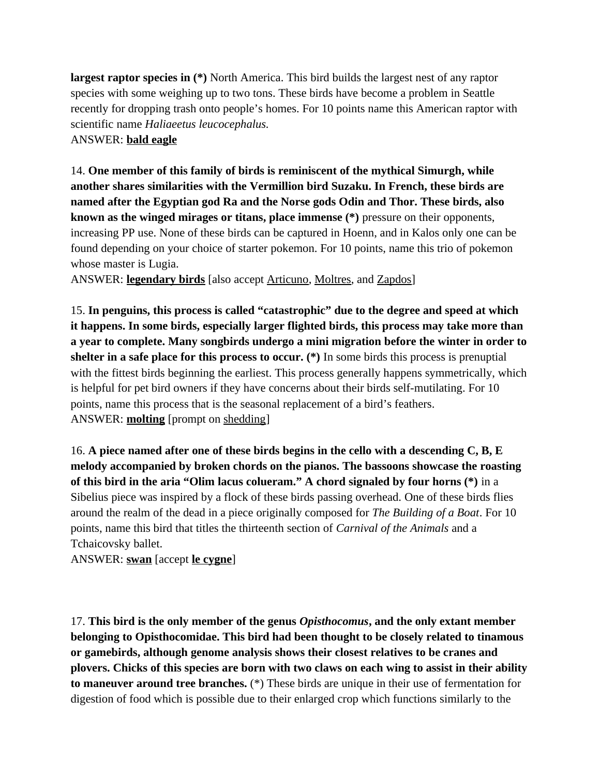**largest raptor species in (\*)** North America. This bird builds the largest nest of any raptor species with some weighing up to two tons. These birds have become a problem in Seattle recently for dropping trash onto people's homes. For 10 points name this American raptor with scientific name *Haliaeetus leucocephalus.*  ANSWER: **bald eagle**

14. **One member of this family of birds is reminiscent of the mythical Simurgh, while another shares similarities with the Vermillion bird Suzaku. In French, these birds are named after the Egyptian god Ra and the Norse gods Odin and Thor. These birds, also known as the winged mirages or titans, place immense (\*)** pressure on their opponents, increasing PP use. None of these birds can be captured in Hoenn, and in Kalos only one can be found depending on your choice of starter pokemon. For 10 points, name this trio of pokemon whose master is Lugia.

ANSWER: **legendary birds** [also accept Articuno, Moltres, and Zapdos]

15. **In penguins, this process is called "catastrophic" due to the degree and speed at which it happens. In some birds, especially larger flighted birds, this process may take more than a year to complete. Many songbirds undergo a mini migration before the winter in order to shelter in a safe place for this process to occur. (\*)** In some birds this process is prenuptial with the fittest birds beginning the earliest. This process generally happens symmetrically, which is helpful for pet bird owners if they have concerns about their birds self-mutilating. For 10 points, name this process that is the seasonal replacement of a bird's feathers. ANSWER: **molting** [prompt on shedding]

16. **A piece named after one of these birds begins in the cello with a descending C, B, E melody accompanied by broken chords on the pianos. The bassoons showcase the roasting of this bird in the aria "Olim lacus colueram." A chord signaled by four horns (\*)** in a Sibelius piece was inspired by a flock of these birds passing overhead. One of these birds flies around the realm of the dead in a piece originally composed for *The Building of a Boat*. For 10 points, name this bird that titles the thirteenth section of *Carnival of the Animals* and a Tchaicovsky ballet.

ANSWER: **swan** [accept **le cygne**]

17. **This bird is the only member of the genus** *Opisthocomus***, and the only extant member belonging to Opisthocomidae. This bird had been thought to be closely related to tinamous or gamebirds, although genome analysis shows their closest relatives to be cranes and plovers. Chicks of this species are born with two claws on each wing to assist in their ability to maneuver around tree branches.** (\*) These birds are unique in their use of fermentation for digestion of food which is possible due to their enlarged crop which functions similarly to the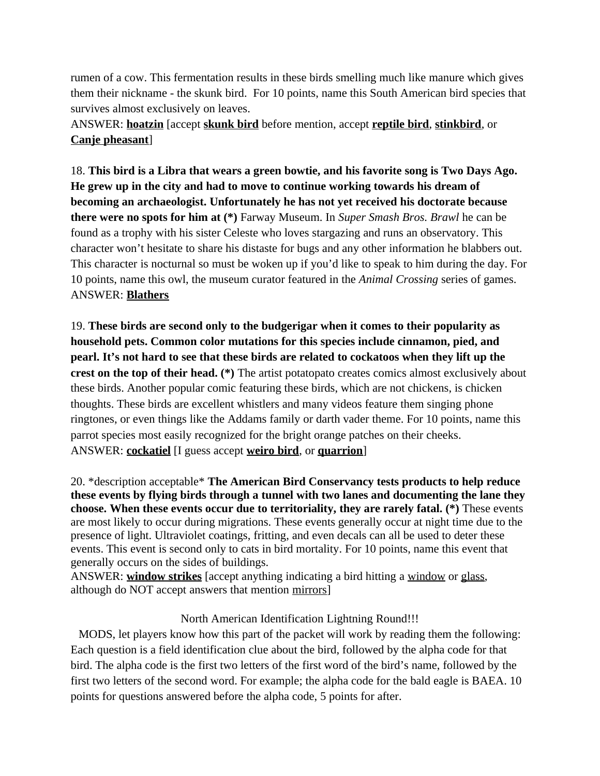rumen of a cow. This fermentation results in these birds smelling much like manure which gives them their nickname - the skunk bird. For 10 points, name this South American bird species that survives almost exclusively on leaves.

ANSWER: **hoatzin** [accept **skunk bird** before mention, accept **reptile bird**, **stinkbird**, or **Canje pheasant**]

18. **This bird is a Libra that wears a green bowtie, and his favorite song is Two Days Ago. He grew up in the city and had to move to continue working towards his dream of becoming an archaeologist. Unfortunately he has not yet received his doctorate because there were no spots for him at (\*)** Farway Museum. In *Super Smash Bros. Brawl* he can be found as a trophy with his sister Celeste who loves stargazing and runs an observatory. This character won't hesitate to share his distaste for bugs and any other information he blabbers out. This character is nocturnal so must be woken up if you'd like to speak to him during the day. For 10 points, name this owl, the museum curator featured in the *Animal Crossing* series of games. ANSWER: **Blathers**

19. **These birds are second only to the budgerigar when it comes to their popularity as household pets. Common color mutations for this species include cinnamon, pied, and pearl. It's not hard to see that these birds are related to cockatoos when they lift up the crest on the top of their head. (\*)** The artist potatopato creates comics almost exclusively about these birds. Another popular comic featuring these birds, which are not chickens, is chicken thoughts. These birds are excellent whistlers and many videos feature them singing phone ringtones, or even things like the Addams family or darth vader theme. For 10 points, name this parrot species most easily recognized for the bright orange patches on their cheeks. ANSWER: **cockatiel** [I guess accept **weiro bird**, or **quarrion**]

20. \*description acceptable\* **The American Bird Conservancy tests products to help reduce these events by flying birds through a tunnel with two lanes and documenting the lane they choose. When these events occur due to territoriality, they are rarely fatal. (\*)** These events are most likely to occur during migrations. These events generally occur at night time due to the presence of light. Ultraviolet coatings, fritting, and even decals can all be used to deter these events. This event is second only to cats in bird mortality. For 10 points, name this event that generally occurs on the sides of buildings.

ANSWER: **window strikes** [accept anything indicating a bird hitting a window or glass, although do NOT accept answers that mention mirrors]

## North American Identification Lightning Round!!!

MODS, let players know how this part of the packet will work by reading them the following: Each question is a field identification clue about the bird, followed by the alpha code for that bird. The alpha code is the first two letters of the first word of the bird's name, followed by the first two letters of the second word. For example; the alpha code for the bald eagle is BAEA. 10 points for questions answered before the alpha code, 5 points for after.